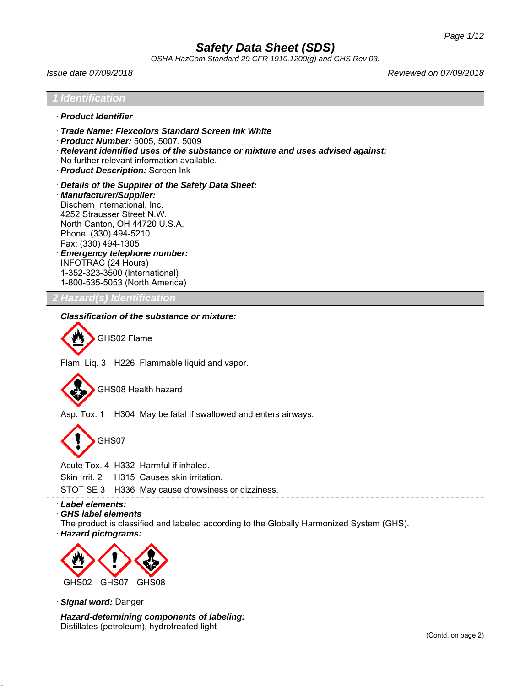*OSHA HazCom Standard 29 CFR 1910.1200(g) and GHS Rev 03.*

*Issue date 07/09/2018 Reviewed on 07/09/2018*

| <b>Identification</b>                                                                                                                                                                                                                                                                                                                                               |  |
|---------------------------------------------------------------------------------------------------------------------------------------------------------------------------------------------------------------------------------------------------------------------------------------------------------------------------------------------------------------------|--|
| · Product Identifier                                                                                                                                                                                                                                                                                                                                                |  |
| · Trade Name: Flexcolors Standard Screen Ink White<br>Product Number: 5005, 5007, 5009<br>· Relevant identified uses of the substance or mixture and uses advised against:<br>No further relevant information available.<br>· Product Description: Screen Ink                                                                                                       |  |
| Details of the Supplier of the Safety Data Sheet:<br>· Manufacturer/Supplier:<br>Dischem International, Inc.<br>4252 Strausser Street N.W.<br>North Canton, OH 44720 U.S.A.<br>Phone: (330) 494-5210<br>Fax: (330) 494-1305<br><b>Emergency telephone number:</b><br><b>INFOTRAC (24 Hours)</b><br>1-352-323-3500 (International)<br>1-800-535-5053 (North America) |  |
| <b>2 Hazard(s) Identification</b>                                                                                                                                                                                                                                                                                                                                   |  |
| <b>Classification of the substance or mixture:</b><br>GHS02 Flame                                                                                                                                                                                                                                                                                                   |  |
| Flam. Liq. 3 H226 Flammable liquid and vapor.                                                                                                                                                                                                                                                                                                                       |  |
| GHS08 Health hazard                                                                                                                                                                                                                                                                                                                                                 |  |
| Asp. Tox. 1 H304 May be fatal if swallowed and enters airways.                                                                                                                                                                                                                                                                                                      |  |
| GHS07                                                                                                                                                                                                                                                                                                                                                               |  |
| Acute Tox. 4 H332 Harmful if inhaled.<br>Skin Irrit. 2<br>H315 Causes skin irritation.<br>STOT SE 3<br>H336 May cause drowsiness or dizziness.                                                                                                                                                                                                                      |  |
| · Label elements:<br><b>GHS label elements</b><br>The product is classified and labeled according to the Globally Harmonized System (GHS).<br>· Hazard pictograms:                                                                                                                                                                                                  |  |



GHS02 GHS07 GHS08

· *Signal word:* Danger

· *Hazard-determining components of labeling:* Distillates (petroleum), hydrotreated light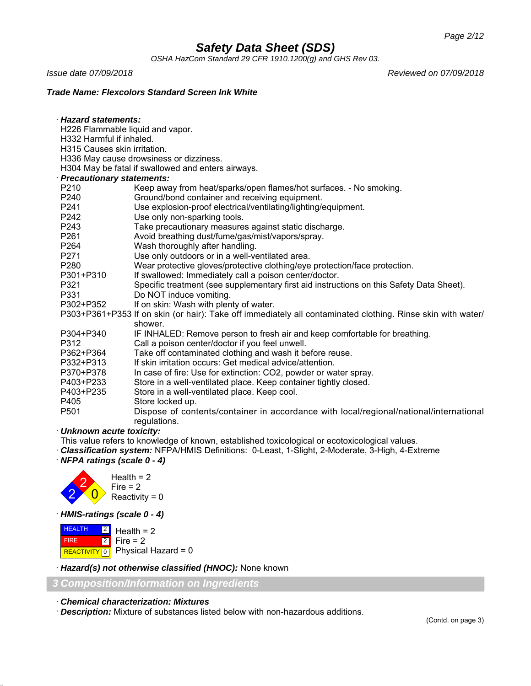*OSHA HazCom Standard 29 CFR 1910.1200(g) and GHS Rev 03.*

· *Hazard statements:*

*Issue date 07/09/2018 Reviewed on 07/09/2018*

## *Trade Name: Flexcolors Standard Screen Ink White*

|                                                                                                             | H226 Flammable liquid and vapor.                                                         |  |  |
|-------------------------------------------------------------------------------------------------------------|------------------------------------------------------------------------------------------|--|--|
| H332 Harmful if inhaled.                                                                                    |                                                                                          |  |  |
| H315 Causes skin irritation.                                                                                |                                                                                          |  |  |
|                                                                                                             | H336 May cause drowsiness or dizziness.                                                  |  |  |
|                                                                                                             | H304 May be fatal if swallowed and enters airways.                                       |  |  |
| · Precautionary statements:                                                                                 |                                                                                          |  |  |
| P210                                                                                                        | Keep away from heat/sparks/open flames/hot surfaces. - No smoking.                       |  |  |
| P240                                                                                                        | Ground/bond container and receiving equipment.                                           |  |  |
| P241                                                                                                        | Use explosion-proof electrical/ventilating/lighting/equipment.                           |  |  |
| P242                                                                                                        | Use only non-sparking tools.                                                             |  |  |
| P243                                                                                                        | Take precautionary measures against static discharge.                                    |  |  |
| P261                                                                                                        | Avoid breathing dust/fume/gas/mist/vapors/spray.                                         |  |  |
| P <sub>264</sub>                                                                                            | Wash thoroughly after handling.                                                          |  |  |
| P271                                                                                                        | Use only outdoors or in a well-ventilated area.                                          |  |  |
| P280                                                                                                        | Wear protective gloves/protective clothing/eye protection/face protection.               |  |  |
| P301+P310                                                                                                   | If swallowed: Immediately call a poison center/doctor.                                   |  |  |
| P321                                                                                                        | Specific treatment (see supplementary first aid instructions on this Safety Data Sheet). |  |  |
| P331                                                                                                        | Do NOT induce vomiting.                                                                  |  |  |
| P302+P352                                                                                                   | If on skin: Wash with plenty of water.                                                   |  |  |
| P303+P361+P353 If on skin (or hair): Take off immediately all contaminated clothing. Rinse skin with water/ |                                                                                          |  |  |
|                                                                                                             | shower.                                                                                  |  |  |
| P304+P340                                                                                                   | IF INHALED: Remove person to fresh air and keep comfortable for breathing.               |  |  |
| P312                                                                                                        | Call a poison center/doctor if you feel unwell.                                          |  |  |
| P362+P364                                                                                                   | Take off contaminated clothing and wash it before reuse.                                 |  |  |
| P332+P313                                                                                                   | If skin irritation occurs: Get medical advice/attention.                                 |  |  |
| P370+P378                                                                                                   | In case of fire: Use for extinction: CO2, powder or water spray.                         |  |  |
| P403+P233                                                                                                   | Store in a well-ventilated place. Keep container tightly closed.                         |  |  |
| P403+P235                                                                                                   | Store in a well-ventilated place. Keep cool.                                             |  |  |
| P405                                                                                                        | Store locked up.                                                                         |  |  |
| P501                                                                                                        | Dispose of contents/container in accordance with local/regional/national/international   |  |  |
|                                                                                                             | regulations.                                                                             |  |  |
| . Unknown acuto toxicity:                                                                                   |                                                                                          |  |  |

· *Unknown acute toxicity:*

This value refers to knowledge of known, established toxicological or ecotoxicological values.

· *Classification system:* NFPA/HMIS Definitions: 0-Least, 1-Slight, 2-Moderate, 3-High, 4-Extreme

· *NFPA ratings (scale 0 - 4)*



· *HMIS-ratings (scale 0 - 4)*

| $H$ <b>EALTH</b> $2$ Health = 2 |                                                 |
|---------------------------------|-------------------------------------------------|
| <b>FIRE</b>                     | $\begin{bmatrix} 2 \\ 1 \end{bmatrix}$ Fire = 2 |
|                                 | REACTIVITY 0 Physical Hazard = 0                |

· *Hazard(s) not otherwise classified (HNOC):* None known

*3 Composition/Information on Ingredients*

· *Chemical characterization: Mixtures*

· *Description:* Mixture of substances listed below with non-hazardous additions.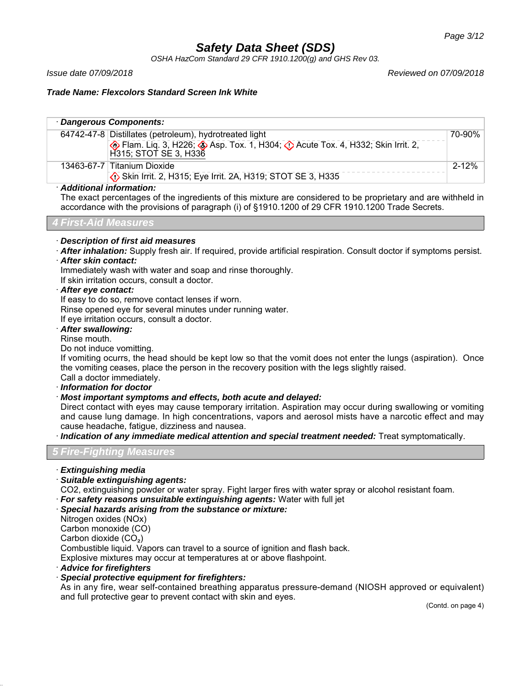*OSHA HazCom Standard 29 CFR 1910.1200(g) and GHS Rev 03.*

*Issue date 07/09/2018 Reviewed on 07/09/2018*

## *Trade Name: Flexcolors Standard Screen Ink White*

| · Dangerous Components:   |                                                                                                                 |           |
|---------------------------|-----------------------------------------------------------------------------------------------------------------|-----------|
|                           | 64742-47-8 Distillates (petroleum), hydrotreated light                                                          | 70-90%    |
|                           | Elam. Liq. 3, H226; Asp. Tox. 1, H304; C Acute Tox. 4, H332; Skin Irrit. 2,<br>H315; STOT SE 3, H336            |           |
|                           | 13463-67-7 Titanium Dioxide                                                                                     | $2 - 12%$ |
|                           | Skin Irrit. 2, H315; Eye Irrit. 2A, H319; STOT SE 3, H335                                                       |           |
| · Additional information: | ▼bis considered and all of the topical satisfied actions are constitued to be accorded as a satisfied attituded |           |

The exact percentages of the ingredients of this mixture are considered to be proprietary and are withheld in accordance with the provisions of paragraph (i) of §1910.1200 of 29 CFR 1910.1200 Trade Secrets.

*4 First-Aid Measures*

## · *Description of first aid measures*

- · *After inhalation:* Supply fresh air. If required, provide artificial respiration. Consult doctor if symptoms persist.
- · *After skin contact:*

Immediately wash with water and soap and rinse thoroughly.

If skin irritation occurs, consult a doctor.

· *After eye contact:*

If easy to do so, remove contact lenses if worn.

Rinse opened eye for several minutes under running water.

If eye irritation occurs, consult a doctor.

#### · *After swallowing:*

Rinse mouth.

Do not induce vomitting.

If vomiting ocurrs, the head should be kept low so that the vomit does not enter the lungs (aspiration). Once the vomiting ceases, place the person in the recovery position with the legs slightly raised. Call a doctor immediately.

· *Information for doctor*

· *Most important symptoms and effects, both acute and delayed:*

Direct contact with eyes may cause temporary irritation. Aspiration may occur during swallowing or vomiting and cause lung damage. In high concentrations, vapors and aerosol mists have a narcotic effect and may cause headache, fatigue, dizziness and nausea.

· *Indication of any immediate medical attention and special treatment needed:* Treat symptomatically.

## *5 Fire-Fighting Measures*

· *Extinguishing media*

· *Suitable extinguishing agents:*

CO2, extinguishing powder or water spray. Fight larger fires with water spray or alcohol resistant foam.

- · *For safety reasons unsuitable extinguishing agents:* Water with full jet
- · *Special hazards arising from the substance or mixture:*

Nitrogen oxides (NOx)

Carbon monoxide (CO)

Carbon dioxide  $(CO<sub>2</sub>)$ 

Combustible liquid. Vapors can travel to a source of ignition and flash back.

Explosive mixtures may occur at temperatures at or above flashpoint.

## · *Advice for firefighters*

· *Special protective equipment for firefighters:*

As in any fire, wear self-contained breathing apparatus pressure-demand (NIOSH approved or equivalent) and full protective gear to prevent contact with skin and eyes.

(Contd. on page 4)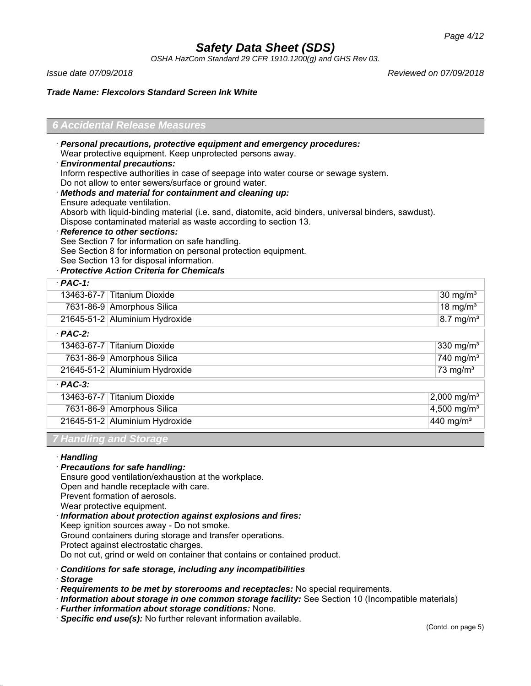*OSHA HazCom Standard 29 CFR 1910.1200(g) and GHS Rev 03.*

*Issue date 07/09/2018 Reviewed on 07/09/2018*

#### *Trade Name: Flexcolors Standard Screen Ink White*

## *6 Accidental Release Measures*

· *Personal precautions, protective equipment and emergency procedures:* Wear protective equipment. Keep unprotected persons away. · *Environmental precautions:*

Inform respective authorities in case of seepage into water course or sewage system.

Do not allow to enter sewers/surface or ground water.

- · *Methods and material for containment and cleaning up:*
- Ensure adequate ventilation.

Absorb with liquid-binding material (i.e. sand, diatomite, acid binders, universal binders, sawdust). Dispose contaminated material as waste according to section 13.

· *Reference to other sections:*

See Section 7 for information on safe handling.

See Section 8 for information on personal protection equipment.

See Section 13 for disposal information.

## · *Protective Action Criteria for Chemicals*

| 13463-67-7 Titanium Dioxide | 7631-86-9 Amorphous Silica     | 30 mg/ $m3$<br>18 mg/ $m3$ |
|-----------------------------|--------------------------------|----------------------------|
|                             |                                |                            |
|                             |                                |                            |
|                             | 21645-51-2 Aluminium Hydroxide | $8.7$ mg/m <sup>3</sup>    |
| $·$ PAC-2:                  |                                |                            |
| 13463-67-7 Titanium Dioxide |                                | 330 mg/ $m3$               |
|                             | 7631-86-9 Amorphous Silica     | 740 mg/m $3$               |
|                             | 21645-51-2 Aluminium Hydroxide | 73 mg/ $m3$                |
| $\cdot$ PAC-3:              |                                |                            |
| 13463-67-7 Titanium Dioxide |                                | 2,000 mg/m <sup>3</sup>    |
|                             | 7631-86-9 Amorphous Silica     | 4,500 mg/m <sup>3</sup>    |
|                             | 21645-51-2 Aluminium Hydroxide | 440 mg/m <sup>3</sup>      |

*7 Handling and Storage*

## · *Handling*

#### · *Precautions for safe handling:*

Ensure good ventilation/exhaustion at the workplace.

Open and handle receptacle with care.

Prevent formation of aerosols.

Wear protective equipment.

· *Information about protection against explosions and fires:* Keep ignition sources away - Do not smoke. Ground containers during storage and transfer operations. Protect against electrostatic charges.

Do not cut, grind or weld on container that contains or contained product.

## · *Conditions for safe storage, including any incompatibilities*

· *Storage*

· *Requirements to be met by storerooms and receptacles:* No special requirements.

· *Information about storage in one common storage facility:* See Section 10 (Incompatible materials)

- · *Further information about storage conditions:* None.
- · *Specific end use(s):* No further relevant information available.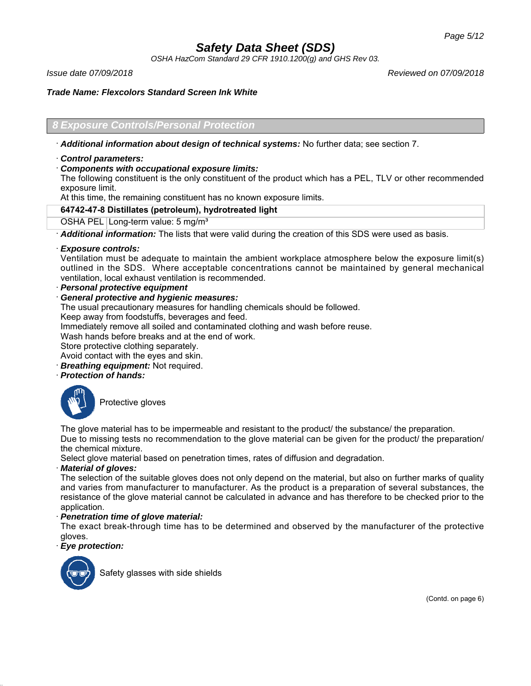*OSHA HazCom Standard 29 CFR 1910.1200(g) and GHS Rev 03.*

*Issue date 07/09/2018 Reviewed on 07/09/2018*

## *Trade Name: Flexcolors Standard Screen Ink White*

## *8 Exposure Controls/Personal Protection*

· *Additional information about design of technical systems:* No further data; see section 7.

## · *Control parameters:*

## · *Components with occupational exposure limits:*

The following constituent is the only constituent of the product which has a PEL, TLV or other recommended exposure limit.

At this time, the remaining constituent has no known exposure limits.

## **64742-47-8 Distillates (petroleum), hydrotreated light**

OSHA PEL Long-term value: 5 mg/m<sup>3</sup>

· *Additional information:* The lists that were valid during the creation of this SDS were used as basis.

## · *Exposure controls:*

Ventilation must be adequate to maintain the ambient workplace atmosphere below the exposure limit(s) outlined in the SDS. Where acceptable concentrations cannot be maintained by general mechanical ventilation, local exhaust ventilation is recommended.

· *Personal protective equipment*

· *General protective and hygienic measures:*

The usual precautionary measures for handling chemicals should be followed.

Keep away from foodstuffs, beverages and feed.

Immediately remove all soiled and contaminated clothing and wash before reuse.

Wash hands before breaks and at the end of work.

Store protective clothing separately.

Avoid contact with the eyes and skin.

- **Breathing equipment:** Not required.
- · *Protection of hands:*



Protective gloves

The glove material has to be impermeable and resistant to the product/ the substance/ the preparation. Due to missing tests no recommendation to the glove material can be given for the product/ the preparation/ the chemical mixture.

Select glove material based on penetration times, rates of diffusion and degradation.

## · *Material of gloves:*

The selection of the suitable gloves does not only depend on the material, but also on further marks of quality and varies from manufacturer to manufacturer. As the product is a preparation of several substances, the resistance of the glove material cannot be calculated in advance and has therefore to be checked prior to the application.

## · *Penetration time of glove material:*

The exact break-through time has to be determined and observed by the manufacturer of the protective gloves.

## · *Eye protection:*



Safety glasses with side shields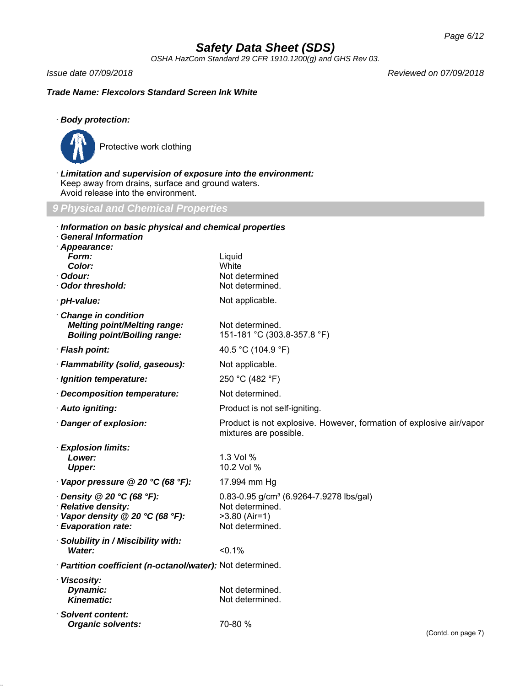*OSHA HazCom Standard 29 CFR 1910.1200(g) and GHS Rev 03.*

*Issue date 07/09/2018 Reviewed on 07/09/2018*

*Trade Name: Flexcolors Standard Screen Ink White*

## · *Body protection:*



· *Limitation and supervision of exposure into the environment:* Keep away from drains, surface and ground waters. Avoid release into the environment.

*9 Physical and Chemical Properties*

| Information on basic physical and chemical properties<br><b>General Information</b><br>Appearance:               |                                                                                                              |
|------------------------------------------------------------------------------------------------------------------|--------------------------------------------------------------------------------------------------------------|
| Form:<br>Color:<br>· Odour:<br>Odor threshold:                                                                   | Liquid<br>White<br>Not determined<br>Not determined.                                                         |
| · pH-value:                                                                                                      | Not applicable.                                                                                              |
| Change in condition<br><b>Melting point/Melting range:</b><br><b>Boiling point/Boiling range:</b>                | Not determined.<br>151-181 °C (303.8-357.8 °F)                                                               |
| · Flash point:                                                                                                   | 40.5 °C (104.9 °F)                                                                                           |
| · Flammability (solid, gaseous):                                                                                 | Not applicable.                                                                                              |
| · Ignition temperature:                                                                                          | 250 °C (482 °F)                                                                                              |
| Decomposition temperature:                                                                                       | Not determined.                                                                                              |
| · Auto igniting:                                                                                                 | Product is not self-igniting.                                                                                |
| · Danger of explosion:                                                                                           | Product is not explosive. However, formation of explosive air/vapor<br>mixtures are possible.                |
| · Explosion limits:<br>Lower:<br><b>Upper:</b>                                                                   | 1.3 Vol %<br>10.2 Vol %                                                                                      |
| Vapor pressure @ 20 °C (68 °F):                                                                                  | 17.994 mm Hg                                                                                                 |
| $\cdot$ Density @ 20 °C (68 °F):<br>· Relative density:<br>Vapor density @ 20 °C (68 °F):<br>· Evaporation rate: | 0.83-0.95 g/cm <sup>3</sup> (6.9264-7.9278 lbs/gal)<br>Not determined.<br>$>3.80$ (Air=1)<br>Not determined. |
| · Solubility in / Miscibility with:<br>Water:                                                                    | < 0.1%                                                                                                       |
| · Partition coefficient (n-octanol/water): Not determined.                                                       |                                                                                                              |
| · Viscosity:<br>Dynamic:<br><b>Kinematic:</b>                                                                    | Not determined.<br>Not determined.                                                                           |
| · Solvent content:<br><b>Organic solvents:</b>                                                                   | 70-80 %<br>(Contd. on page 7)                                                                                |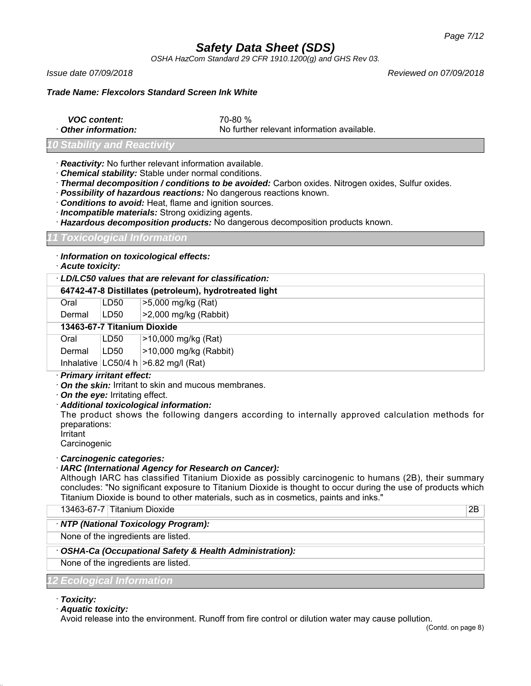*OSHA HazCom Standard 29 CFR 1910.1200(g) and GHS Rev 03.*

*Issue date 07/09/2018 Reviewed on 07/09/2018*

## *Trade Name: Flexcolors Standard Screen Ink White*

*VOC content:* 70-80 %

· *Other information:* No further relevant information available.

## *Stability and Reactivity*

· *Reactivity:* No further relevant information available.

· *Chemical stability:* Stable under normal conditions.

· *Thermal decomposition / conditions to be avoided:* Carbon oxides. Nitrogen oxides, Sulfur oxides.

· *Possibility of hazardous reactions:* No dangerous reactions known.

· *Conditions to avoid:* Heat, flame and ignition sources.

· *Incompatible materials:* Strong oxidizing agents.

· *Hazardous decomposition products:* No dangerous decomposition products known.

## *11 Toxicological Information*

· *Information on toxicological effects:*

· *Acute toxicity:*

|                             | $\cdot$ LD/LC50 values that are relevant for classification: |                                           |  |
|-----------------------------|--------------------------------------------------------------|-------------------------------------------|--|
|                             | 64742-47-8 Distillates (petroleum), hydrotreated light       |                                           |  |
| Oral                        | LD50                                                         | >5,000 mg/kg (Rat)                        |  |
| Dermal                      | LD50                                                         | $>2,000$ mg/kg (Rabbit)                   |  |
| 13463-67-7 Titanium Dioxide |                                                              |                                           |  |
| Oral                        | LD50                                                         | >10,000 mg/kg (Rat)                       |  |
| Dermal                      | LD50                                                         | $>10,000$ mg/kg (Rabbit)                  |  |
|                             |                                                              | Inhalative $ LG50/4 h  > 6.82 mg/l (Rat)$ |  |
|                             | Delmanne feeltnett affante                                   |                                           |  |

## · *Primary irritant effect:*

- · *On the skin:* Irritant to skin and mucous membranes.
- · *On the eye:* Irritating effect.

· *Additional toxicological information:*

The product shows the following dangers according to internally approved calculation methods for preparations:

Irritant

**Carcinogenic** 

## · *Carcinogenic categories:*

## · *IARC (International Agency for Research on Cancer):*

Although IARC has classified Titanium Dioxide as possibly carcinogenic to humans (2B), their summary concludes: "No significant exposure to Titanium Dioxide is thought to occur during the use of products which Titanium Dioxide is bound to other materials, such as in cosmetics, paints and inks."

13463-67-7 Titanium Dioxide 2B

## · *NTP (National Toxicology Program):*

None of the ingredients are listed.

## · *OSHA-Ca (Occupational Safety & Health Administration):*

None of the ingredients are listed.

## *12 Ecological Information*

· *Toxicity:*

· *Aquatic toxicity:*

Avoid release into the environment. Runoff from fire control or dilution water may cause pollution.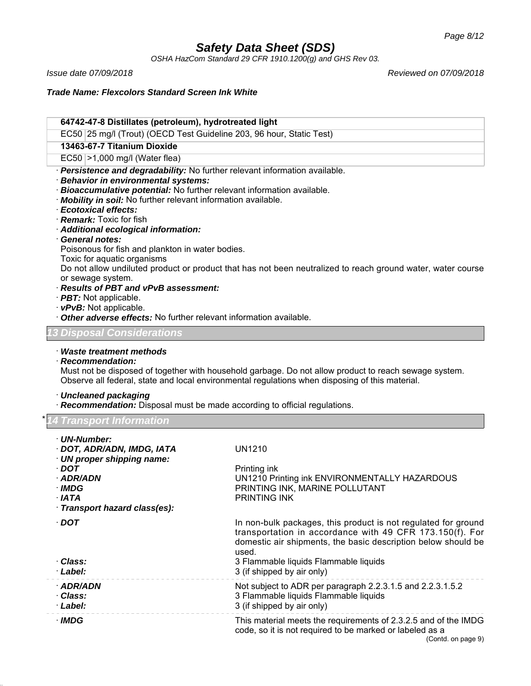*OSHA HazCom Standard 29 CFR 1910.1200(g) and GHS Rev 03.*

*Issue date 07/09/2018 Reviewed on 07/09/2018*

*Trade Name: Flexcolors Standard Screen Ink White*

## **64742-47-8 Distillates (petroleum), hydrotreated light** EC50 25 mg/l (Trout) (OECD Test Guideline 203, 96 hour, Static Test)

## **13463-67-7 Titanium Dioxide**

EC50 >1,000 mg/l (Water flea)

- · *Persistence and degradability:* No further relevant information available.
- · *Behavior in environmental systems:*
- · *Bioaccumulative potential:* No further relevant information available.
- · *Mobility in soil:* No further relevant information available.
- · *Ecotoxical effects:*
- · *Remark:* Toxic for fish
- · *Additional ecological information:*
- · *General notes:*
- Poisonous for fish and plankton in water bodies.
- Toxic for aquatic organisms

Do not allow undiluted product or product that has not been neutralized to reach ground water, water course or sewage system.

- · *Results of PBT and vPvB assessment:*
- · *PBT:* Not applicable.
- · *vPvB:* Not applicable.
- · *Other adverse effects:* No further relevant information available.

## *13 Disposal Considerations*

· *Waste treatment methods*

## · *Recommendation:*

Must not be disposed of together with household garbage. Do not allow product to reach sewage system. Observe all federal, state and local environmental regulations when disposing of this material.

## · *Uncleaned packaging*

· *Recommendation:* Disposal must be made according to official regulations.

\* *14 Transport Information*

| · UN-Number:<br>· DOT, ADR/ADN, IMDG, IATA<br>· UN proper shipping name:<br>· DOT<br>· ADR/ADN<br>· IMDG<br>∙ IATA<br>· Transport hazard class(es): | <b>UN1210</b><br>Printing ink<br>UN1210 Printing ink ENVIRONMENTALLY HAZARDOUS<br>PRINTING INK, MARINE POLLUTANT<br><b>PRINTING INK</b>                                                                                                                                     |
|-----------------------------------------------------------------------------------------------------------------------------------------------------|-----------------------------------------------------------------------------------------------------------------------------------------------------------------------------------------------------------------------------------------------------------------------------|
| $\cdot$ DOT<br>· Class:<br>· Label:                                                                                                                 | In non-bulk packages, this product is not regulated for ground<br>transportation in accordance with 49 CFR 173.150(f). For<br>domestic air shipments, the basic description below should be<br>used.<br>3 Flammable liquids Flammable liquids<br>3 (if shipped by air only) |
| · ADR/ADN<br>· Class:<br>· Label:                                                                                                                   | Not subject to ADR per paragraph 2.2.3.1.5 and 2.2.3.1.5.2<br>3 Flammable liquids Flammable liquids<br>3 (if shipped by air only)                                                                                                                                           |
| · IMDG                                                                                                                                              | This material meets the requirements of 2.3.2.5 and of the IMDG<br>code, so it is not required to be marked or labeled as a<br>(Contd. on page 9)                                                                                                                           |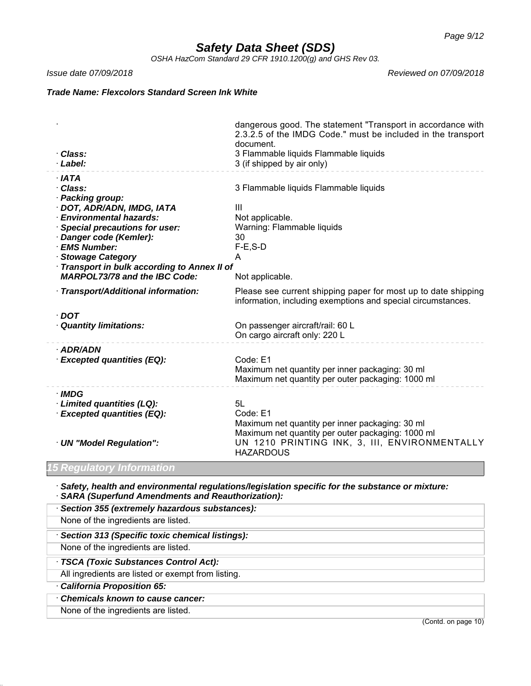*OSHA HazCom Standard 29 CFR 1910.1200(g) and GHS Rev 03.*

*Issue date 07/09/2018 Reviewed on 07/09/2018*

*Trade Name: Flexcolors Standard Screen Ink White*

| · Class:                                                                                  | dangerous good. The statement "Transport in accordance with<br>2.3.2.5 of the IMDG Code." must be included in the transport<br>document.<br>3 Flammable liquids Flammable liquids |
|-------------------------------------------------------------------------------------------|-----------------------------------------------------------------------------------------------------------------------------------------------------------------------------------|
| · Label:                                                                                  | 3 (if shipped by air only)                                                                                                                                                        |
| · IATA<br>· Class:                                                                        | 3 Flammable liquids Flammable liquids                                                                                                                                             |
| · Packing group:<br>· DOT, ADR/ADN, IMDG, IATA                                            | Ш                                                                                                                                                                                 |
| · Environmental hazards:<br><b>Special precautions for user:</b><br>Danger code (Kemler): | Not applicable.<br>Warning: Flammable liquids<br>30                                                                                                                               |
| · EMS Number:<br><b>Stowage Category</b>                                                  | $F-E$ , $S-D$<br>A                                                                                                                                                                |
| Transport in bulk according to Annex II of<br><b>MARPOL73/78 and the IBC Code:</b>        | Not applicable.                                                                                                                                                                   |
| · Transport/Additional information:                                                       | Please see current shipping paper for most up to date shipping<br>information, including exemptions and special circumstances.                                                    |
| $\cdot$ DOT                                                                               |                                                                                                                                                                                   |
| <b>Quantity limitations:</b>                                                              | On passenger aircraft/rail: 60 L<br>On cargo aircraft only: 220 L                                                                                                                 |
| $·$ ADR/ADN                                                                               |                                                                                                                                                                                   |
| <b>Excepted quantities (EQ):</b>                                                          | Code: E1<br>Maximum net quantity per inner packaging: 30 ml<br>Maximum net quantity per outer packaging: 1000 ml                                                                  |
| · IMDG<br>· Limited quantities (LQ):                                                      | 5L                                                                                                                                                                                |
| <b>Excepted quantities (EQ):</b>                                                          | Code: E1<br>Maximum net quantity per inner packaging: 30 ml                                                                                                                       |
| · UN "Model Regulation":                                                                  | Maximum net quantity per outer packaging: 1000 ml<br>UN 1210 PRINTING INK, 3, III, ENVIRONMENTALLY<br><b>HAZARDOUS</b>                                                            |

## *15 Regulatory Information*

· *Safety, health and environmental regulations/legislation specific for the substance or mixture:* · *SARA (Superfund Amendments and Reauthorization):*

| Section 355 (extremely hazardous substances):      |
|----------------------------------------------------|
| None of the ingredients are listed.                |
| · Section 313 (Specific toxic chemical listings):  |
| None of the ingredients are listed.                |
| · TSCA (Toxic Substances Control Act):             |
| All ingredients are listed or exempt from listing. |
| California Proposition 65:                         |
| Chemicals known to cause cancer:                   |
| None of the ingredients are listed.                |

(Contd. on page 10)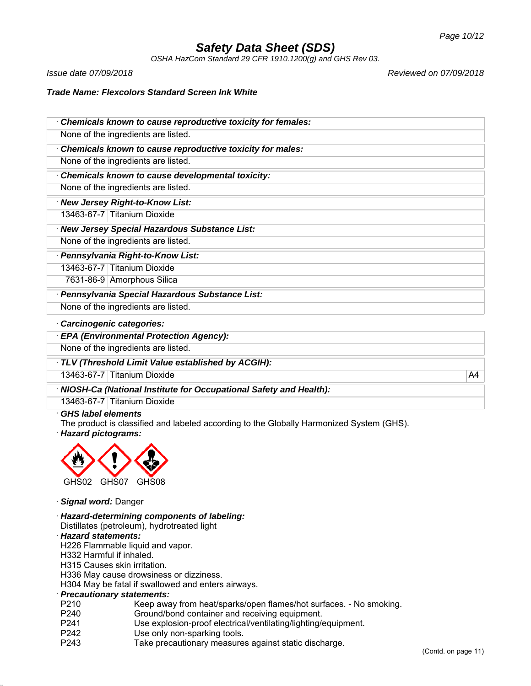*OSHA HazCom Standard 29 CFR 1910.1200(g) and GHS Rev 03.*

*Issue date 07/09/2018 Reviewed on 07/09/2018*

*Trade Name: Flexcolors Standard Screen Ink White*

| Chemicals known to cause reproductive toxicity for females: |  |  |
|-------------------------------------------------------------|--|--|
| None of the ingredients are listed.                         |  |  |
| Chemicals known to cause reproductive toxicity for males:   |  |  |
| None of the ingredients are listed.                         |  |  |
| Chemicals known to cause developmental toxicity:            |  |  |
| None of the ingredients are listed.                         |  |  |
| · New Jersey Right-to-Know List:                            |  |  |
| 13463-67-7 Titanium Dioxide                                 |  |  |
| · New Jersey Special Hazardous Substance List:              |  |  |
| None of the ingredients are listed.                         |  |  |
| · Pennsylvania Right-to-Know List:                          |  |  |
| 13463-67-7 Titanium Dioxide                                 |  |  |
| 7631-86-9 Amorphous Silica                                  |  |  |
| · Pennsylvania Special Hazardous Substance List:            |  |  |
| None of the ingredients are listed.                         |  |  |
| Cavainanania aatanaviaa:                                    |  |  |

#### · *Carcinogenic categories:*

· *EPA (Environmental Protection Agency):*

None of the ingredients are listed.

· *TLV (Threshold Limit Value established by ACGIH):*

13463-67-7 Titanium Dioxide A4

· *NIOSH-Ca (National Institute for Occupational Safety and Health):*

13463-67-7 Titanium Dioxide

## · *GHS label elements*

The product is classified and labeled according to the Globally Harmonized System (GHS).

· *Hazard pictograms:*



· *Signal word:* Danger

· *Hazard-determining components of labeling:* Distillates (petroleum), hydrotreated light

#### · *Hazard statements:*

H226 Flammable liquid and vapor.

H332 Harmful if inhaled.

H315 Causes skin irritation.

H336 May cause drowsiness or dizziness.

H304 May be fatal if swallowed and enters airways.

#### · *Precautionary statements:*

- P210 Keep away from heat/sparks/open flames/hot surfaces. No smoking.
- P240 Ground/bond container and receiving equipment.
- P241 Use explosion-proof electrical/ventilating/lighting/equipment.
- P242 Use only non-sparking tools.
- P243 Take precautionary measures against static discharge.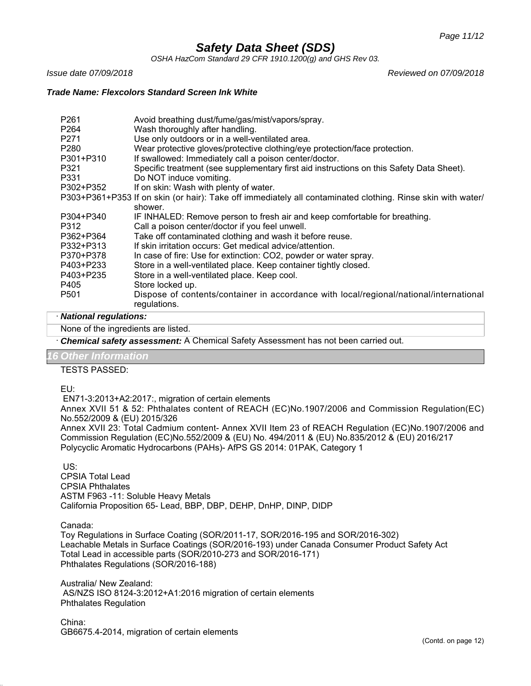*OSHA HazCom Standard 29 CFR 1910.1200(g) and GHS Rev 03.*

*Issue date 07/09/2018 Reviewed on 07/09/2018*

#### *Trade Name: Flexcolors Standard Screen Ink White*

| P <sub>261</sub><br>P <sub>264</sub> | Avoid breathing dust/fume/gas/mist/vapors/spray.<br>Wash thoroughly after handling.                         |
|--------------------------------------|-------------------------------------------------------------------------------------------------------------|
| P <sub>271</sub>                     | Use only outdoors or in a well-ventilated area.                                                             |
| P <sub>280</sub>                     | Wear protective gloves/protective clothing/eye protection/face protection.                                  |
| P301+P310                            | If swallowed: Immediately call a poison center/doctor.                                                      |
| P321                                 | Specific treatment (see supplementary first aid instructions on this Safety Data Sheet).                    |
| P331                                 | Do NOT induce vomiting.                                                                                     |
| P302+P352                            | If on skin: Wash with plenty of water.                                                                      |
|                                      | P303+P361+P353 If on skin (or hair): Take off immediately all contaminated clothing. Rinse skin with water/ |
|                                      | shower.                                                                                                     |
| P304+P340                            | IF INHALED: Remove person to fresh air and keep comfortable for breathing.                                  |
| P312                                 | Call a poison center/doctor if you feel unwell.                                                             |
| P362+P364                            | Take off contaminated clothing and wash it before reuse.                                                    |
| P332+P313                            | If skin irritation occurs: Get medical advice/attention.                                                    |
| P370+P378                            | In case of fire: Use for extinction: CO2, powder or water spray.                                            |
| P403+P233                            | Store in a well-ventilated place. Keep container tightly closed.                                            |
| P403+P235                            | Store in a well-ventilated place. Keep cool.                                                                |
| P405                                 | Store locked up.                                                                                            |
| P <sub>501</sub>                     | Dispose of contents/container in accordance with local/regional/national/international<br>regulations.      |

#### · *National regulations:*

None of the ingredients are listed.

· *Chemical safety assessment:* A Chemical Safety Assessment has not been carried out.

## *<u>Other Information</u>*

TESTS PASSED:

EU:

EN71-3:2013+A2:2017:, migration of certain elements

Annex XVII 51 & 52: Phthalates content of REACH (EC)No.1907/2006 and Commission Regulation(EC) No.552/2009 & (EU) 2015/326

Annex XVII 23: Total Cadmium content- Annex XVII Item 23 of REACH Regulation (EC)No.1907/2006 and Commission Regulation (EC)No.552/2009 & (EU) No. 494/2011 & (EU) No.835/2012 & (EU) 2016/217 Polycyclic Aromatic Hydrocarbons (PAHs)- AfPS GS 2014: 01PAK, Category 1

US:

CPSIA Total Lead CPSIA Phthalates ASTM F963 -11: Soluble Heavy Metals California Proposition 65- Lead, BBP, DBP, DEHP, DnHP, DINP, DIDP

Canada:

Toy Regulations in Surface Coating (SOR/2011-17, SOR/2016-195 and SOR/2016-302) Leachable Metals in Surface Coatings (SOR/2016-193) under Canada Consumer Product Safety Act Total Lead in accessible parts (SOR/2010-273 and SOR/2016-171) Phthalates Regulations (SOR/2016-188)

Australia/ New Zealand: AS/NZS ISO 8124-3:2012+A1:2016 migration of certain elements Phthalates Regulation

China: GB6675.4-2014, migration of certain elements